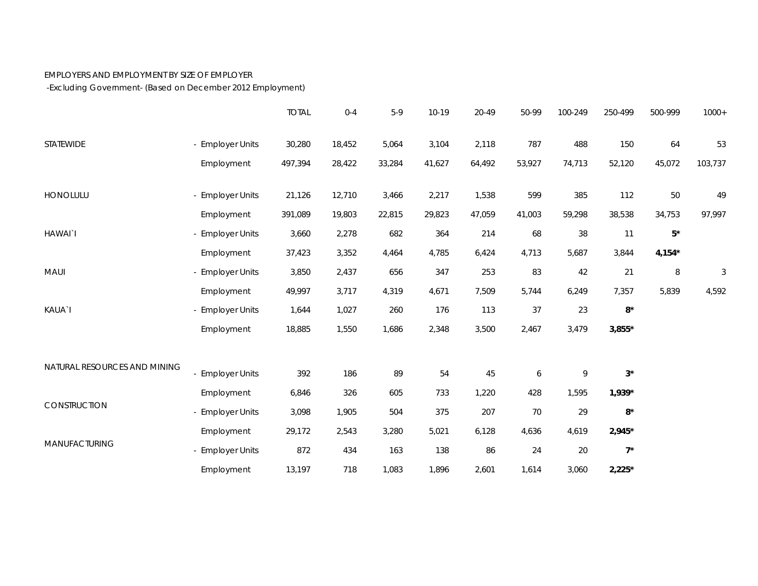## EMPLOYERS AND EMPLOYMENT BY SIZE OF EMPLOYER

-Excluding Government- (Based on December 2012 Employment)

|                              |                  | <b>TOTAL</b> | $0 - 4$ | $5-9$  | 10-19  | 20-49  | 50-99  | 100-249 | 250-499     | 500-999   | $1000+$ |
|------------------------------|------------------|--------------|---------|--------|--------|--------|--------|---------|-------------|-----------|---------|
| STATEWIDE                    | - Employer Units | 30,280       | 18,452  | 5,064  | 3,104  | 2,118  | 787    | 488     | 150         | 64        | 53      |
|                              | Employment       | 497,394      | 28,422  | 33,284 | 41,627 | 64,492 | 53,927 | 74,713  | 52,120      | 45,072    | 103,737 |
| HONOLULU                     | - Employer Units | 21,126       | 12,710  | 3,466  | 2,217  | 1,538  | 599    | 385     | 112         | 50        | 49      |
|                              | Employment       | 391,089      | 19,803  | 22,815 | 29,823 | 47,059 | 41,003 | 59,298  | 38,538      | 34,753    | 97,997  |
| HAWAI`I                      | - Employer Units | 3,660        | 2,278   | 682    | 364    | 214    | 68     | 38      | 11          | $5^\star$ |         |
|                              | Employment       | 37,423       | 3,352   | 4,464  | 4,785  | 6,424  | 4,713  | 5,687   | 3,844       | $4,154*$  |         |
| MAUI                         | - Employer Units | 3,850        | 2,437   | 656    | 347    | 253    | 83     | 42      | 21          | 8         | 3       |
|                              | Employment       | 49,997       | 3,717   | 4,319  | 4,671  | 7,509  | 5,744  | 6,249   | 7,357       | 5,839     | 4,592   |
| KAUA`I                       | - Employer Units | 1,644        | 1,027   | 260    | 176    | 113    | 37     | 23      | $8*$        |           |         |
|                              | Employment       | 18,885       | 1,550   | 1,686  | 2,348  | 3,500  | 2,467  | 3,479   | $3,855*$    |           |         |
| NATURAL RESOURCES AND MINING |                  |              |         |        |        |        |        |         |             |           |         |
|                              | - Employer Units | 392          | 186     | 89     | 54     | 45     | 6      | 9       | $3^{\star}$ |           |         |
| CONSTRUCTION                 | Employment       | 6,846        | 326     | 605    | 733    | 1,220  | 428    | 1,595   | $1,939*$    |           |         |
|                              | - Employer Units | 3,098        | 1,905   | 504    | 375    | 207    | 70     | 29      | $8^{\star}$ |           |         |
| MANUFACTURING                | Employment       | 29,172       | 2,543   | 3,280  | 5,021  | 6,128  | 4,636  | 4,619   | $2,945*$    |           |         |
|                              | - Employer Units | 872          | 434     | 163    | 138    | 86     | 24     | 20      | $7^*$       |           |         |
|                              | Employment       | 13,197       | 718     | 1,083  | 1,896  | 2,601  | 1,614  | 3,060   | $2,225*$    |           |         |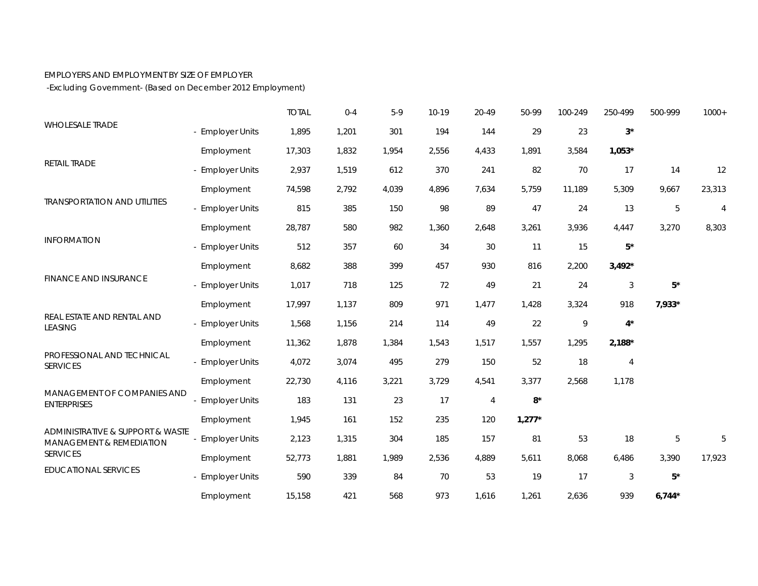## EMPLOYERS AND EMPLOYMENT BY SIZE OF EMPLOYER

-Excluding Government- (Based on December 2012 Employment)

|                                                                                                                           |                       | <b>TOTAL</b> | $0 - 4$ | $5-9$ | 10-19 | 20-49          | 50-99       | 100-249 | 250-499        | 500-999   | $1000+$        |
|---------------------------------------------------------------------------------------------------------------------------|-----------------------|--------------|---------|-------|-------|----------------|-------------|---------|----------------|-----------|----------------|
| <b>WHOLESALE TRADE</b>                                                                                                    | - Employer Units      | 1,895        | 1,201   | 301   | 194   | 144            | 29          | 23      | $3^{\star}$    |           |                |
|                                                                                                                           | Employment            | 17,303       | 1,832   | 1,954 | 2,556 | 4,433          | 1,891       | 3,584   | $1,053*$       |           |                |
| RETAIL TRADE                                                                                                              | - Employer Units      | 2,937        | 1,519   | 612   | 370   | 241            | 82          | 70      | 17             | 14        | 12             |
|                                                                                                                           | Employment            | 74,598       | 2,792   | 4,039 | 4,896 | 7,634          | 5,759       | 11,189  | 5,309          | 9,667     | 23,313         |
| <b>TRANSPORTATION AND UTILITIES</b>                                                                                       | - Employer Units      | 815          | 385     | 150   | 98    | 89             | 47          | 24      | 13             | 5         | $\overline{4}$ |
|                                                                                                                           | Employment            | 28,787       | 580     | 982   | 1,360 | 2,648          | 3,261       | 3,936   | 4,447          | 3,270     | 8,303          |
| <b>INFORMATION</b>                                                                                                        | - Employer Units      | 512          | 357     | 60    | 34    | 30             | 11          | 15      | $5^\star$      |           |                |
|                                                                                                                           | Employment            | 8,682        | 388     | 399   | 457   | 930            | 816         | 2,200   | $3,492*$       |           |                |
| <b>FINANCE AND INSURANCE</b>                                                                                              | - Employer Units      | 1,017        | 718     | 125   | 72    | 49             | 21          | 24      | $\sqrt{3}$     | $5^\star$ |                |
|                                                                                                                           | Employment            | 17,997       | 1,137   | 809   | 971   | 1,477          | 1,428       | 3,324   | 918            | 7,933*    |                |
| REAL ESTATE AND RENTAL AND<br><b>LEASING</b>                                                                              | - Employer Units      | 1,568        | 1,156   | 214   | 114   | 49             | 22          | 9       | $4^*$          |           |                |
|                                                                                                                           | Employment            | 11,362       | 1,878   | 1,384 | 1,543 | 1,517          | 1,557       | 1,295   | $2,188*$       |           |                |
| PROFESSIONAL AND TECHNICAL<br><b>SERVICES</b>                                                                             | - Employer Units      | 4,072        | 3,074   | 495   | 279   | 150            | 52          | 18      | $\overline{4}$ |           |                |
|                                                                                                                           | Employment            | 22,730       | 4,116   | 3,221 | 3,729 | 4,541          | 3,377       | 2,568   | 1,178          |           |                |
| MANAGEMENT OF COMPANIES AND<br><b>ENTERPRISES</b>                                                                         | - Employer Units      | 183          | 131     | 23    | 17    | $\overline{4}$ | $8^{\star}$ |         |                |           |                |
|                                                                                                                           | Employment            | 1,945        | 161     | 152   | 235   | 120            | $1,277*$    |         |                |           |                |
| ADMINISTRATIVE & SUPPORT & WASTE<br><b>MANAGEMENT &amp; REMEDIATION</b><br><b>SERVICES</b><br><b>EDUCATIONAL SERVICES</b> | <b>Employer Units</b> | 2,123        | 1,315   | 304   | 185   | 157            | 81          | 53      | 18             | 5         | 5              |
|                                                                                                                           | Employment            | 52,773       | 1,881   | 1,989 | 2,536 | 4,889          | 5,611       | 8,068   | 6,486          | 3,390     | 17,923         |
|                                                                                                                           | - Employer Units      | 590          | 339     | 84    | 70    | 53             | 19          | 17      | $\sqrt{3}$     | $5*$      |                |
|                                                                                                                           | Employment            | 15,158       | 421     | 568   | 973   | 1,616          | 1,261       | 2,636   | 939            | $6,744*$  |                |